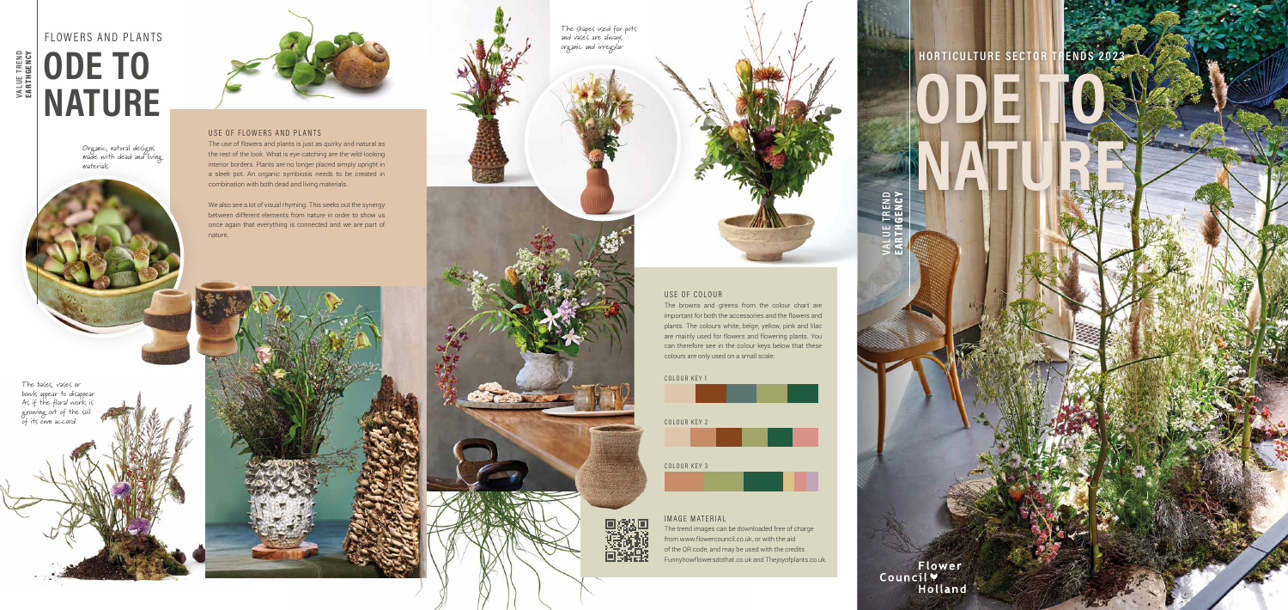### USE OF FLOWERS AND PLANTS

The use of flowers and plants is just as quirky and natural as the rest of the look. What is eye-catching are the wild-looking interior borders. Plants are no longer placed simply upright in a sleek pot. An organic symbiosis needs to be created in combination with both dead and living materials.

We also see a lot of visual rhyming. This seeks out the synergy between different elements from nature in order to show us once again that everything is connected and we are part of nature.



### USE OF COLOUR

Organic, natural designs made with dead and living materials



The browns and greens from the colour chart are important for both the accessories and the flowers and plants. The colours white, beige, yellow, pink and lilac are mainly used for flowers and flowering plants. You can therefore see in the colour keys below that these colours are only used on a small scale.

**VALUE TREND**  EARTHGENCY

**VALUE TREND<br>EARTHGENCY** 



**ODE TO**

**NATURE**

Flower<br>Council V<br>Holland

**VALUE TREND**  EARTHGENCY

END<br>NCY

di Lista









# FLOWERS AND PLANTS **ODE TO NATURE**

#### IMAGE MATERIAL

The trend images can be downloaded free of charge from www.flowercouncil.co.uk, or with the aid of the QR code, and may be used with the credits Funnyhowflowersdothat.co.uk and Thejoyofplants.co.uk.

# **HORTICULTURE SECTOR TRENDS**